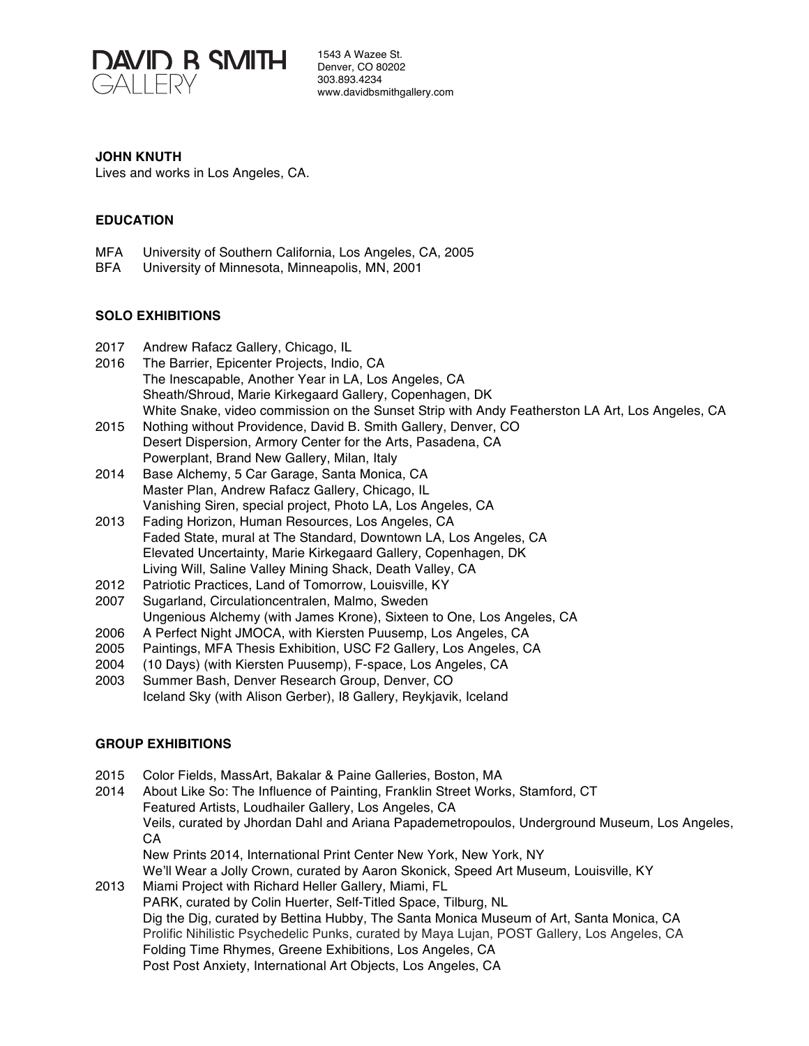

#### **JOHN KNUTH**

Lives and works in Los Angeles, CA.

### **EDUCATION**

- MFA University of Southern California, Los Angeles, CA, 2005
- BFA University of Minnesota, Minneapolis, MN, 2001

#### **SOLO EXHIBITIONS**

- 2017 Andrew Rafacz Gallery, Chicago, IL
- 2016 The Barrier, Epicenter Projects, Indio, CA The Inescapable, Another Year in LA, Los Angeles, CA Sheath/Shroud, Marie Kirkegaard Gallery, Copenhagen, DK White Snake, video commission on the Sunset Strip with Andy Featherston LA Art, Los Angeles, CA
- 2015 Nothing without Providence, David B. Smith Gallery, Denver, CO Desert Dispersion, Armory Center for the Arts, Pasadena, CA Powerplant, Brand New Gallery, Milan, Italy
- 2014 Base Alchemy, 5 Car Garage, Santa Monica, CA Master Plan, Andrew Rafacz Gallery, Chicago, IL Vanishing Siren, special project, Photo LA, Los Angeles, CA
- 2013 Fading Horizon, Human Resources, Los Angeles, CA Faded State, mural at The Standard, Downtown LA, Los Angeles, CA Elevated Uncertainty, Marie Kirkegaard Gallery, Copenhagen, DK Living Will, Saline Valley Mining Shack, Death Valley, CA
- 2012 Patriotic Practices, Land of Tomorrow, Louisville, KY
- 2007 Sugarland, Circulationcentralen, Malmo, Sweden
- Ungenious Alchemy (with James Krone), Sixteen to One, Los Angeles, CA
- 2006 A Perfect Night JMOCA, with Kiersten Puusemp, Los Angeles, CA
- 2005 Paintings, MFA Thesis Exhibition, USC F2 Gallery, Los Angeles, CA
- 2004 (10 Days) (with Kiersten Puusemp), F-space, Los Angeles, CA
- 2003 Summer Bash, Denver Research Group, Denver, CO Iceland Sky (with Alison Gerber), I8 Gallery, Reykjavik, Iceland

## **GROUP EXHIBITIONS**

- 2015 Color Fields, MassArt, Bakalar & Paine Galleries, Boston, MA
- 2014 About Like So: The Influence of Painting, Franklin Street Works, Stamford, CT Featured Artists, Loudhailer Gallery, Los Angeles, CA Veils, curated by Jhordan Dahl and Ariana Papademetropoulos, Underground Museum, Los Angeles, CA New Prints 2014, International Print Center New York, New York, NY We'll Wear a Jolly Crown, curated by Aaron Skonick, Speed Art Museum, Louisville, KY 2013 Miami Project with Richard Heller Gallery, Miami, FL PARK, curated by Colin Huerter, Self-Titled Space, Tilburg, NL Dig the Dig, curated by Bettina Hubby, The Santa Monica Museum of Art, Santa Monica, CA Prolific Nihilistic Psychedelic Punks, curated by Maya Lujan, POST Gallery, Los Angeles, CA
	- Folding Time Rhymes, Greene Exhibitions, Los Angeles, CA

Post Post Anxiety, International Art Objects, Los Angeles, CA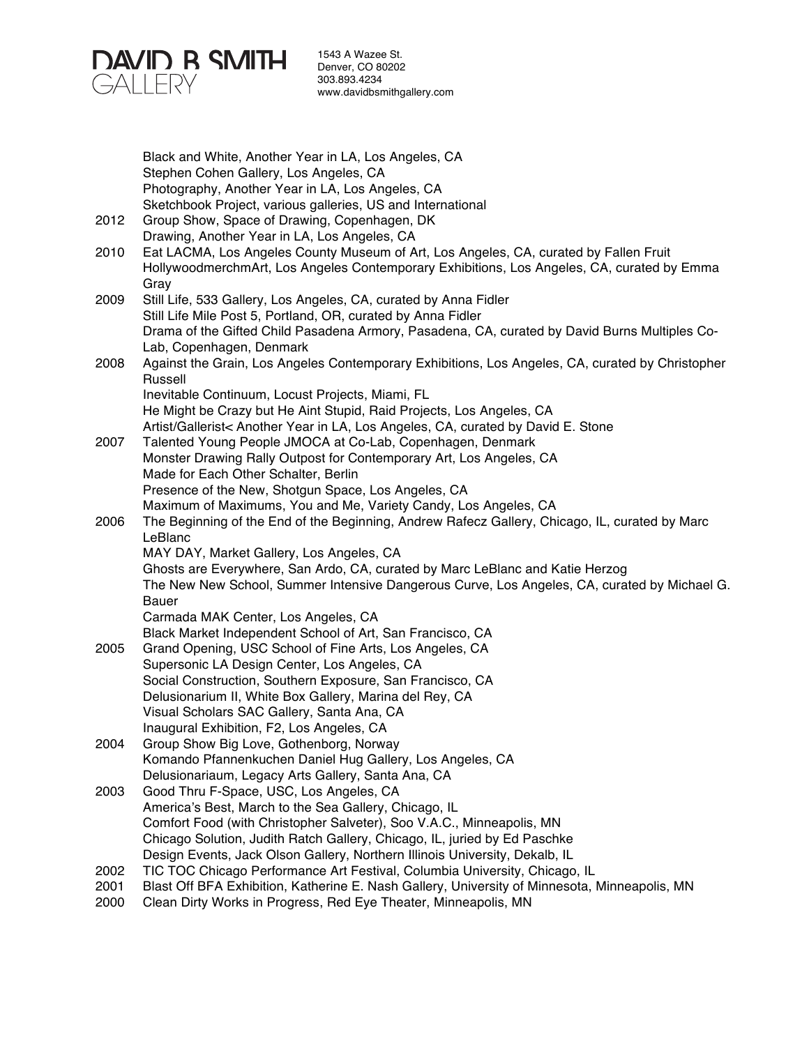

|      | Black and White, Another Year in LA, Los Angeles, CA                                                                                                                                        |
|------|---------------------------------------------------------------------------------------------------------------------------------------------------------------------------------------------|
|      | Stephen Cohen Gallery, Los Angeles, CA                                                                                                                                                      |
|      | Photography, Another Year in LA, Los Angeles, CA                                                                                                                                            |
|      | Sketchbook Project, various galleries, US and International                                                                                                                                 |
| 2012 | Group Show, Space of Drawing, Copenhagen, DK                                                                                                                                                |
|      | Drawing, Another Year in LA, Los Angeles, CA                                                                                                                                                |
| 2010 | Eat LACMA, Los Angeles County Museum of Art, Los Angeles, CA, curated by Fallen Fruit<br>HollywoodmerchmArt, Los Angeles Contemporary Exhibitions, Los Angeles, CA, curated by Emma<br>Gray |
| 2009 | Still Life, 533 Gallery, Los Angeles, CA, curated by Anna Fidler                                                                                                                            |
|      | Still Life Mile Post 5, Portland, OR, curated by Anna Fidler                                                                                                                                |
|      | Drama of the Gifted Child Pasadena Armory, Pasadena, CA, curated by David Burns Multiples Co-<br>Lab, Copenhagen, Denmark                                                                   |
| 2008 | Against the Grain, Los Angeles Contemporary Exhibitions, Los Angeles, CA, curated by Christopher                                                                                            |
|      | Russell                                                                                                                                                                                     |
|      | Inevitable Continuum, Locust Projects, Miami, FL                                                                                                                                            |
|      | He Might be Crazy but He Aint Stupid, Raid Projects, Los Angeles, CA                                                                                                                        |
|      | Artist/Gallerist< Another Year in LA, Los Angeles, CA, curated by David E. Stone                                                                                                            |
| 2007 | Talented Young People JMOCA at Co-Lab, Copenhagen, Denmark                                                                                                                                  |
|      | Monster Drawing Rally Outpost for Contemporary Art, Los Angeles, CA                                                                                                                         |
|      | Made for Each Other Schalter, Berlin                                                                                                                                                        |
|      | Presence of the New, Shotgun Space, Los Angeles, CA                                                                                                                                         |
|      | Maximum of Maximums, You and Me, Variety Candy, Los Angeles, CA                                                                                                                             |
| 2006 | The Beginning of the End of the Beginning, Andrew Rafecz Gallery, Chicago, IL, curated by Marc<br>LeBlanc                                                                                   |
|      | MAY DAY, Market Gallery, Los Angeles, CA                                                                                                                                                    |
|      | Ghosts are Everywhere, San Ardo, CA, curated by Marc LeBlanc and Katie Herzog                                                                                                               |
|      | The New New School, Summer Intensive Dangerous Curve, Los Angeles, CA, curated by Michael G.                                                                                                |
|      | Bauer                                                                                                                                                                                       |
|      | Carmada MAK Center, Los Angeles, CA                                                                                                                                                         |
|      | Black Market Independent School of Art, San Francisco, CA                                                                                                                                   |
| 2005 | Grand Opening, USC School of Fine Arts, Los Angeles, CA                                                                                                                                     |
|      | Supersonic LA Design Center, Los Angeles, CA                                                                                                                                                |
|      | Social Construction, Southern Exposure, San Francisco, CA                                                                                                                                   |
|      | Delusionarium II, White Box Gallery, Marina del Rey, CA                                                                                                                                     |
|      | Visual Scholars SAC Gallery, Santa Ana, CA                                                                                                                                                  |
|      | Inaugural Exhibition, F2, Los Angeles, CA                                                                                                                                                   |
| 2004 | Group Show Big Love, Gothenborg, Norway                                                                                                                                                     |
|      | Komando Pfannenkuchen Daniel Hug Gallery, Los Angeles, CA                                                                                                                                   |
|      | Delusionariaum, Legacy Arts Gallery, Santa Ana, CA<br>Good Thru F-Space, USC, Los Angeles, CA                                                                                               |
| 2003 | America's Best, March to the Sea Gallery, Chicago, IL                                                                                                                                       |
|      | Comfort Food (with Christopher Salveter), Soo V.A.C., Minneapolis, MN                                                                                                                       |
|      | Chicago Solution, Judith Ratch Gallery, Chicago, IL, juried by Ed Paschke                                                                                                                   |
|      | Design Events, Jack Olson Gallery, Northern Illinois University, Dekalb, IL                                                                                                                 |
| 2002 | TIC TOC Chicago Performance Art Festival, Columbia University, Chicago, IL                                                                                                                  |
| 2001 | Blast Off BFA Exhibition, Katherine E. Nash Gallery, University of Minnesota, Minneapolis, MN                                                                                               |
| 2000 | Clean Dirty Works in Progress, Red Eye Theater, Minneapolis, MN                                                                                                                             |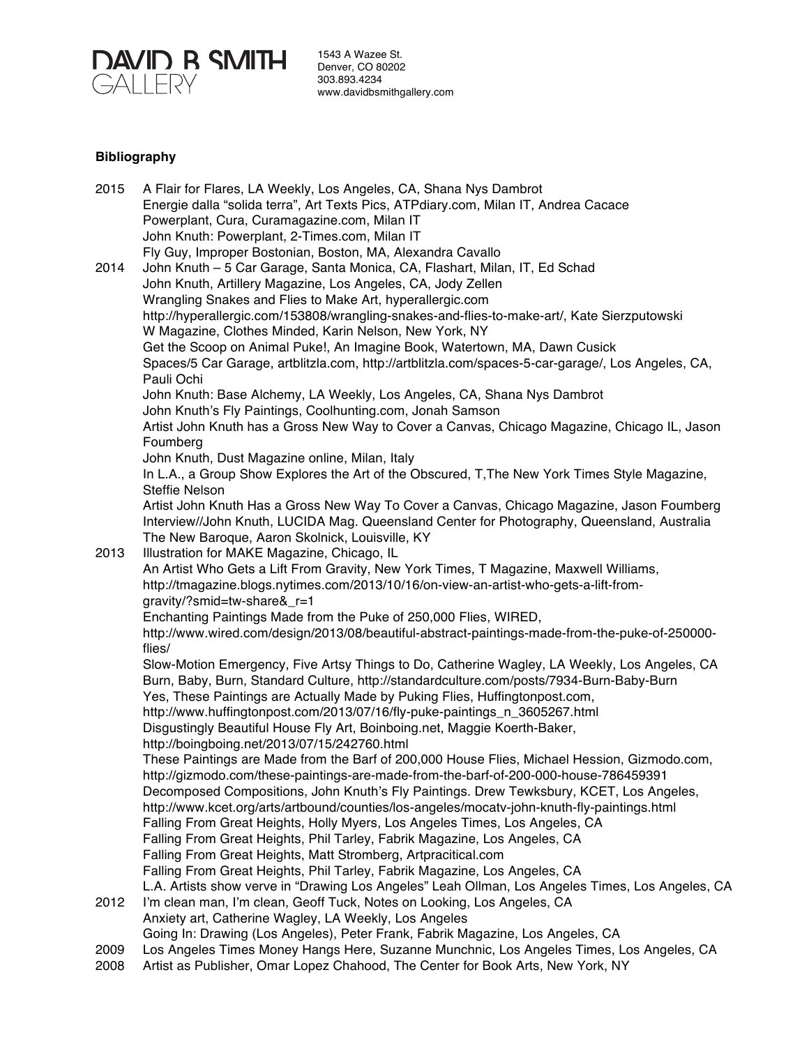

# **Bibliography**

| 2015 | A Flair for Flares, LA Weekly, Los Angeles, CA, Shana Nys Dambrot                                 |
|------|---------------------------------------------------------------------------------------------------|
|      | Energie dalla "solida terra", Art Texts Pics, ATPdiary.com, Milan IT, Andrea Cacace               |
|      | Powerplant, Cura, Curamagazine.com, Milan IT                                                      |
|      | John Knuth: Powerplant, 2-Times.com, Milan IT                                                     |
|      | Fly Guy, Improper Bostonian, Boston, MA, Alexandra Cavallo                                        |
| 2014 | John Knuth - 5 Car Garage, Santa Monica, CA, Flashart, Milan, IT, Ed Schad                        |
|      | John Knuth, Artillery Magazine, Los Angeles, CA, Jody Zellen                                      |
|      | Wrangling Snakes and Flies to Make Art, hyperallergic.com                                         |
|      | http://hyperallergic.com/153808/wrangling-snakes-and-flies-to-make-art/, Kate Sierzputowski       |
|      | W Magazine, Clothes Minded, Karin Nelson, New York, NY                                            |
|      | Get the Scoop on Animal Puke!, An Imagine Book, Watertown, MA, Dawn Cusick                        |
|      | Spaces/5 Car Garage, artblitzla.com, http://artblitzla.com/spaces-5-car-garage/, Los Angeles, CA, |
|      | Pauli Ochi                                                                                        |
|      | John Knuth: Base Alchemy, LA Weekly, Los Angeles, CA, Shana Nys Dambrot                           |
|      | John Knuth's Fly Paintings, Coolhunting.com, Jonah Samson                                         |
|      | Artist John Knuth has a Gross New Way to Cover a Canvas, Chicago Magazine, Chicago IL, Jason      |
|      | Foumberg                                                                                          |
|      | John Knuth, Dust Magazine online, Milan, Italy                                                    |
|      | In L.A., a Group Show Explores the Art of the Obscured, T, The New York Times Style Magazine,     |
|      | <b>Steffie Nelson</b>                                                                             |
|      | Artist John Knuth Has a Gross New Way To Cover a Canvas, Chicago Magazine, Jason Foumberg         |
|      | Interview//John Knuth, LUCIDA Mag. Queensland Center for Photography, Queensland, Australia       |
|      | The New Baroque, Aaron Skolnick, Louisville, KY                                                   |
| 2013 | Illustration for MAKE Magazine, Chicago, IL                                                       |
|      | An Artist Who Gets a Lift From Gravity, New York Times, T Magazine, Maxwell Williams,             |
|      | http://tmagazine.blogs.nytimes.com/2013/10/16/on-view-an-artist-who-gets-a-lift-from-             |
|      | gravity/?smid=tw-share&_r=1                                                                       |
|      | Enchanting Paintings Made from the Puke of 250,000 Flies, WIRED,                                  |
|      | http://www.wired.com/design/2013/08/beautiful-abstract-paintings-made-from-the-puke-of-250000-    |
|      | flies/                                                                                            |
|      | Slow-Motion Emergency, Five Artsy Things to Do, Catherine Wagley, LA Weekly, Los Angeles, CA      |
|      | Burn, Baby, Burn, Standard Culture, http://standardculture.com/posts/7934-Burn-Baby-Burn          |
|      | Yes, These Paintings are Actually Made by Puking Flies, Huffingtonpost.com,                       |
|      | http://www.huffingtonpost.com/2013/07/16/fly-puke-paintings_n_3605267.html                        |
|      | Disgustingly Beautiful House Fly Art, Boinboing.net, Maggie Koerth-Baker,                         |
|      | http://boingboing.net/2013/07/15/242760.html                                                      |
|      | These Paintings are Made from the Barf of 200,000 House Flies, Michael Hession, Gizmodo.com,      |
|      | http://gizmodo.com/these-paintings-are-made-from-the-barf-of-200-000-house-786459391              |
|      | Decomposed Compositions, John Knuth's Fly Paintings. Drew Tewksbury, KCET, Los Angeles,           |
|      | http://www.kcet.org/arts/artbound/counties/los-angeles/mocatv-john-knuth-fly-paintings.html       |
|      | Falling From Great Heights, Holly Myers, Los Angeles Times, Los Angeles, CA                       |
|      | Falling From Great Heights, Phil Tarley, Fabrik Magazine, Los Angeles, CA                         |
|      | Falling From Great Heights, Matt Stromberg, Artpracitical.com                                     |
|      | Falling From Great Heights, Phil Tarley, Fabrik Magazine, Los Angeles, CA                         |
|      | L.A. Artists show verve in "Drawing Los Angeles" Leah Ollman, Los Angeles Times, Los Angeles, CA  |
| 2012 | I'm clean man, I'm clean, Geoff Tuck, Notes on Looking, Los Angeles, CA                           |
|      | Anxiety art, Catherine Wagley, LA Weekly, Los Angeles                                             |
|      | Going In: Drawing (Los Angeles), Peter Frank, Fabrik Magazine, Los Angeles, CA                    |
| 2009 | Los Angeles Times Money Hangs Here, Suzanne Munchnic, Los Angeles Times, Los Angeles, CA          |

2008 Artist as Publisher, Omar Lopez Chahood, The Center for Book Arts, New York, NY